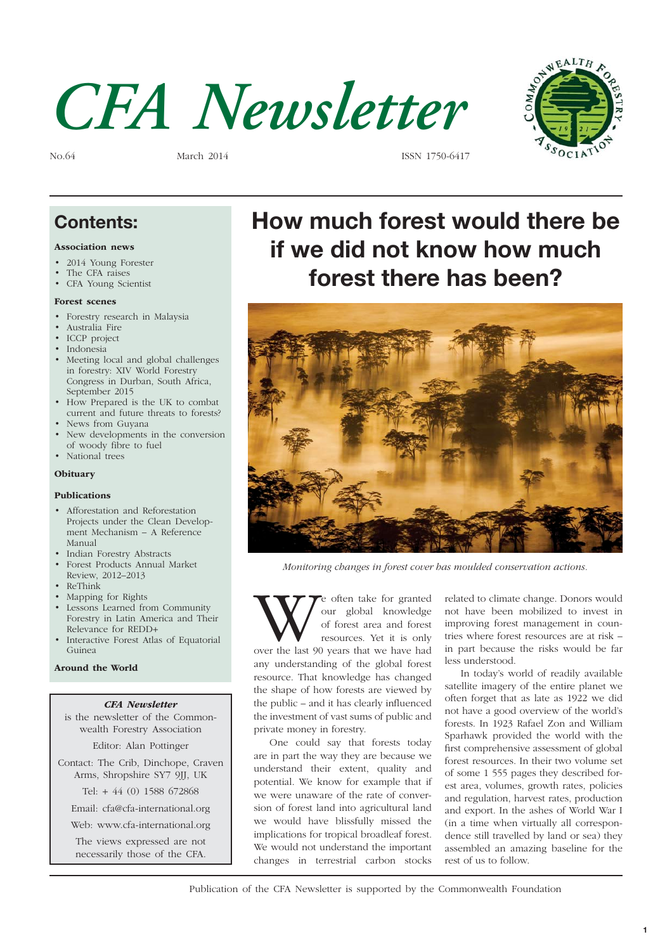



No.64 March 2014 ISSN 1750-6417

#### **Contents:**

#### Association news

- 2014 Young Forester
- The CFA raises
- CFA Young Scientist

#### Forest scenes

- Forestry research in Malaysia
- Australia Fire
- ICCP project
- **Indonesia**
- Meeting local and global challenges in forestry: XIV World Forestry Congress in Durban, South Africa, September 2015
- How Prepared is the UK to combat current and future threats to forests?
- News from Guyana
- New developments in the conversion of woody fibre to fuel • National trees
- **Obituary**

#### Publications

- Afforestation and Reforestation Projects under the Clean Development Mechanism – A Reference Manual
- Indian Forestry Abstracts
- Forest Products Annual Market Review, 2012–2013
- ReThink
- Mapping for Rights
- Lessons Learned from Community Forestry in Latin America and Their Relevance for REDD+
- Interactive Forest Atlas of Equatorial Guinea

#### Around the World

#### CFA Newsletter

is the newsletter of the Commonwealth Forestry Association

Editor: Alan Pottinger

Contact: The Crib, Dinchope, Craven Arms, Shropshire SY7 9JJ, UK

Tel: + 44 (0) 1588 672868

Email: cfa@cfa-international.org

Web: www.cfa-international.org

The views expressed are not necessarily those of the CFA.

# **How much forest would there be if we did not know how much forest there has been?**



Monitoring changes in forest cover has moulded conservation actions.

We often take for granted<br>
our global knowledge<br>
of forest area and forest<br>
resources. Yet it is only<br>
over the last 90 years that we have had our global knowledge of forest area and forest resources. Yet it is only any understanding of the global forest resource. That knowledge has changed the shape of how forests are viewed by the public  $-$  and it has clearly influenced the investment of vast sums of public and private money in forestry.

One could say that forests today are in part the way they are because we understand their extent, quality and potential. We know for example that if we were unaware of the rate of conversion of forest land into agricultural land we would have blissfully missed the implications for tropical broadleaf forest. We would not understand the important changes in terrestrial carbon stocks

related to climate change. Donors would not have been mobilized to invest in improving forest management in countries where forest resources are at risk – in part because the risks would be far less understood.

In today's world of readily available satellite imagery of the entire planet we often forget that as late as 1922 we did not have a good overview of the world's forests. In 1923 Rafael Zon and William Sparhawk provided the world with the first comprehensive assessment of global forest resources. In their two volume set of some 1 555 pages they described forest area, volumes, growth rates, policies and regulation, harvest rates, production and export. In the ashes of World War I (in a time when virtually all correspondence still travelled by land or sea) they assembled an amazing baseline for the rest of us to follow.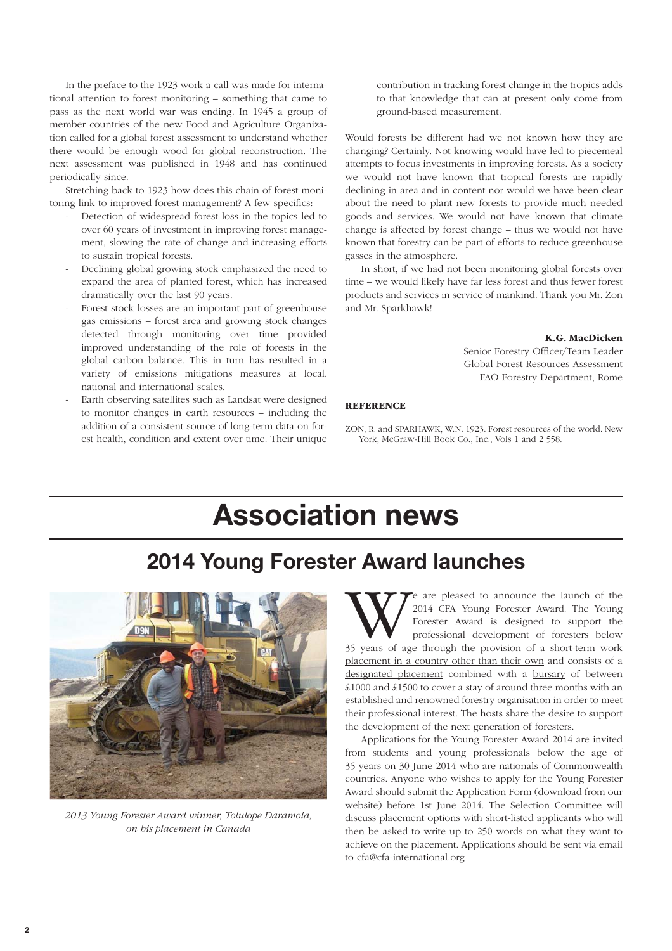In the preface to the 1923 work a call was made for international attention to forest monitoring – something that came to pass as the next world war was ending. In 1945 a group of member countries of the new Food and Agriculture Organization called for a global forest assessment to understand whether there would be enough wood for global reconstruction. The next assessment was published in 1948 and has continued periodically since.

Stretching back to 1923 how does this chain of forest monitoring link to improved forest management? A few specifics:

- Detection of widespread forest loss in the topics led to over 60 years of investment in improving forest management, slowing the rate of change and increasing efforts to sustain tropical forests.
- Declining global growing stock emphasized the need to expand the area of planted forest, which has increased dramatically over the last 90 years.
- Forest stock losses are an important part of greenhouse gas emissions – forest area and growing stock changes detected through monitoring over time provided improved understanding of the role of forests in the global carbon balance. This in turn has resulted in a variety of emissions mitigations measures at local, national and international scales.
- Earth observing satellites such as Landsat were designed to monitor changes in earth resources – including the addition of a consistent source of long-term data on forest health, condition and extent over time. Their unique

contribution in tracking forest change in the tropics adds to that knowledge that can at present only come from ground-based measurement.

Would forests be different had we not known how they are changing? Certainly. Not knowing would have led to piecemeal attempts to focus investments in improving forests. As a society we would not have known that tropical forests are rapidly declining in area and in content nor would we have been clear about the need to plant new forests to provide much needed goods and services. We would not have known that climate change is affected by forest change – thus we would not have known that forestry can be part of efforts to reduce greenhouse gasses in the atmosphere.

In short, if we had not been monitoring global forests over time – we would likely have far less forest and thus fewer forest products and services in service of mankind. Thank you Mr. Zon and Mr. Sparkhawk!

#### K.G. MacDicken

Senior Forestry Officer/Team Leader Global Forest Resources Assessment FAO Forestry Department, Rome

#### **REFERENCE**

ZON, R. and SPARHAWK, W.N. 1923. Forest resources of the world. New York, McGraw-Hill Book Co., Inc., Vols 1 and 2 558.

# **Association news**

## **2014 Young Forester Award launches**



2013 Young Forester Award winner, Tolulope Daramola, on his placement in Canada

We are pleased to announce the launch of the 2014 CFA Young Forester Award. The Young Forester Award is designed to support the professional development of foresters below 35 years of age through the provision of a <u>short-</u> 2014 CFA Young Forester Award. The Young Forester Award is designed to support the professional development of foresters below placement in a country other than their own and consists of a designated placement combined with a bursary of between £1000 and £1500 to cover a stay of around three months with an established and renowned forestry organisation in order to meet their professional interest. The hosts share the desire to support the development of the next generation of foresters.

Applications for the Young Forester Award 2014 are invited from students and young professionals below the age of 35 years on 30 June 2014 who are nationals of Commonwealth countries. Anyone who wishes to apply for the Young Forester Award should submit the Application Form (download from our website) before 1st June 2014. The Selection Committee will discuss placement options with short-listed applicants who will then be asked to write up to 250 words on what they want to achieve on the placement. Applications should be sent via email to cfa@cfa-international.org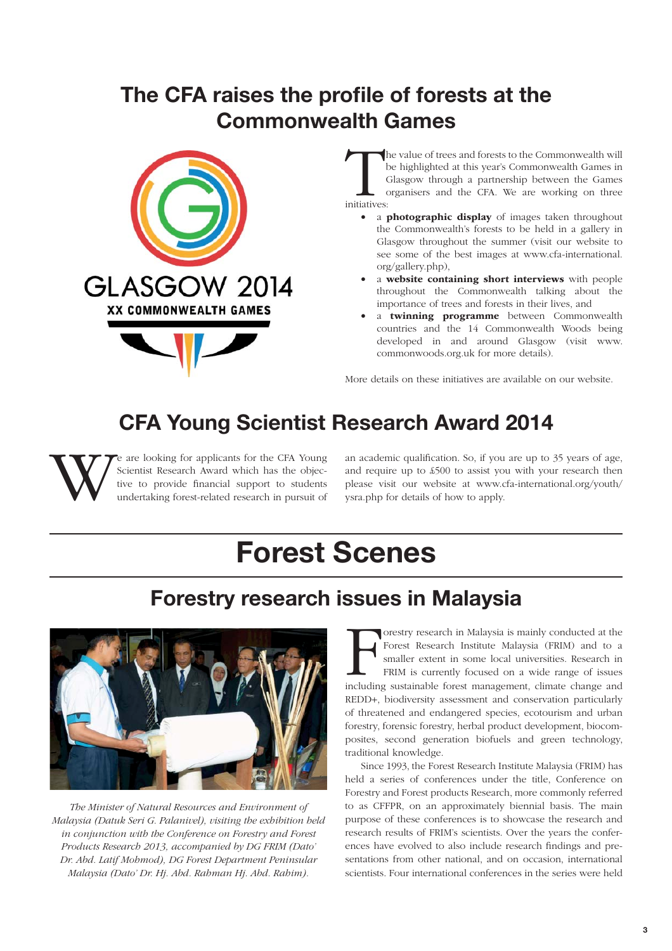# **The CFA raises the profile of forests at the Commonwealth Games**



The value of trees and forests to the Commonwealth will be highlighted at this year's Commonwealth Games in Glasgow through a partnership between the Games organisers and the CFA. We are working on three initiatives:

- a **photographic display** of images taken throughout the Commonwealth's forests to be held in a gallery in Glasgow throughout the summer (visit our website to see some of the best images at www.cfa-international. org/gallery.php),
- a website containing short interviews with people throughout the Commonwealth talking about the importance of trees and forests in their lives, and
- a twinning programme between Commonwealth countries and the 14 Commonwealth Woods being developed in and around Glasgow (visit www. commonwoods.org.uk for more details).

More details on these initiatives are available on our website.

# **CFA Young Scientist Research Award 2014**

We are looking for applicants for the CFA Young Scientist Research Award which has the objective to provide financial support to students undertaking forest-related research in pursuit of an academic qualification. So, if you are up to 35 years of age, and require up to £500 to assist you with your research then please visit our website at www.cfa-international.org/youth/ ysra.php for details of how to apply.

# **Forest Scenes**

## **Forestry research issues in Malaysia**



The Minister of Natural Resources and Environment of Malaysia (Datuk Seri G. Palanivel), visiting the exhibition held in conjunction with the Conference on Forestry and Forest Products Research 2013, accompanied by DG FRIM (Dato' Dr. Abd. Latif Mohmod), DG Forest Department Peninsular Malaysia (Dato' Dr. Hj. Abd. Rahman Hj. Abd. Rahim).

Forestry research in Malaysia is mainly conducted at the Forest Research Institute Malaysia (FRIM) and to a smaller extent in some local universities. Research in FRIM is currently focused on a wide range of issues includi orestry research in Malaysia is mainly conducted at the Forest Research Institute Malaysia (FRIM) and to a smaller extent in some local universities. Research in FRIM is currently focused on a wide range of issues REDD+, biodiversity assessment and conservation particularly of threatened and endangered species, ecotourism and urban forestry, forensic forestry, herbal product development, biocomposites, second generation biofuels and green technology, traditional knowledge.

Since 1993, the Forest Research Institute Malaysia (FRIM) has held a series of conferences under the title, Conference on Forestry and Forest products Research, more commonly referred to as CFFPR, on an approximately biennial basis. The main purpose of these conferences is to showcase the research and research results of FRIM's scientists. Over the years the conferences have evolved to also include research findings and presentations from other national, and on occasion, international scientists. Four international conferences in the series were held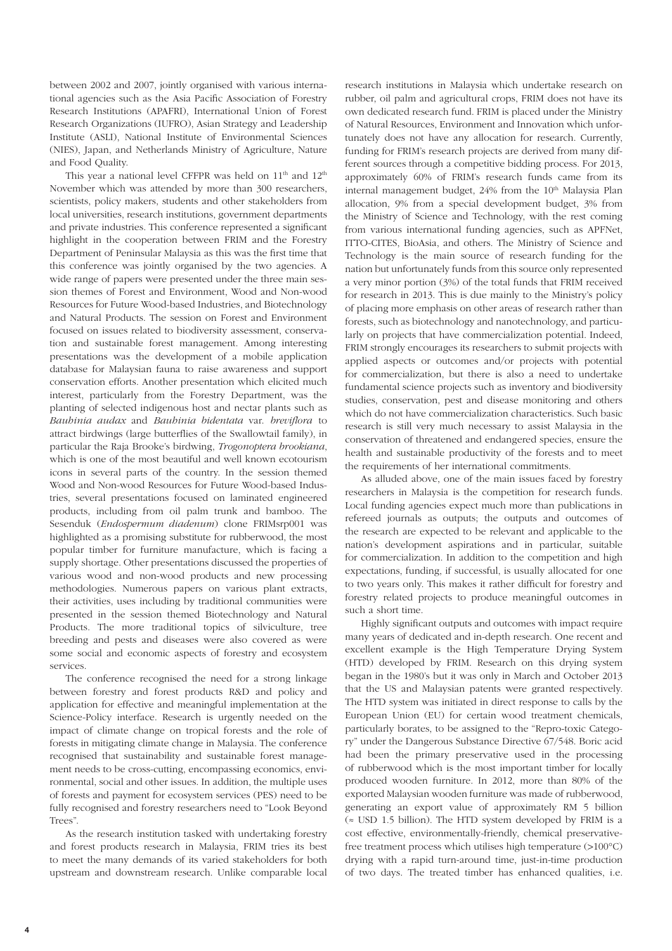between 2002 and 2007, jointly organised with various international agencies such as the Asia Pacific Association of Forestry Research Institutions (APAFRI), International Union of Forest Research Organizations (IUFRO), Asian Strategy and Leadership Institute (ASLI), National Institute of Environmental Sciences (NIES), Japan, and Netherlands Ministry of Agriculture, Nature and Food Quality.

This year a national level CFFPR was held on  $11<sup>th</sup>$  and  $12<sup>th</sup>$ November which was attended by more than 300 researchers, scientists, policy makers, students and other stakeholders from local universities, research institutions, government departments and private industries. This conference represented a significant highlight in the cooperation between FRIM and the Forestry Department of Peninsular Malaysia as this was the first time that this conference was jointly organised by the two agencies. A wide range of papers were presented under the three main session themes of Forest and Environment, Wood and Non-wood Resources for Future Wood-based Industries, and Biotechnology and Natural Products. The session on Forest and Environment focused on issues related to biodiversity assessment, conservation and sustainable forest management. Among interesting presentations was the development of a mobile application database for Malaysian fauna to raise awareness and support conservation efforts. Another presentation which elicited much interest, particularly from the Forestry Department, was the planting of selected indigenous host and nectar plants such as Bauhinia audax and Bauhinia bidentata var. breviflora to attract birdwings (large butterflies of the Swallowtail family), in particular the Raja Brooke's birdwing, Trogonoptera brookiana, which is one of the most beautiful and well known ecotourism icons in several parts of the country. In the session themed Wood and Non-wood Resources for Future Wood-based Industries, several presentations focused on laminated engineered products, including from oil palm trunk and bamboo. The Sesenduk (Endospermum diadenum) clone FRIMsrp001 was highlighted as a promising substitute for rubberwood, the most popular timber for furniture manufacture, which is facing a supply shortage. Other presentations discussed the properties of various wood and non-wood products and new processing methodologies. Numerous papers on various plant extracts, their activities, uses including by traditional communities were presented in the session themed Biotechnology and Natural Products. The more traditional topics of silviculture, tree breeding and pests and diseases were also covered as were some social and economic aspects of forestry and ecosystem services.

The conference recognised the need for a strong linkage between forestry and forest products R&D and policy and application for effective and meaningful implementation at the Science-Policy interface. Research is urgently needed on the impact of climate change on tropical forests and the role of forests in mitigating climate change in Malaysia. The conference recognised that sustainability and sustainable forest management needs to be cross-cutting, encompassing economics, environmental, social and other issues. In addition, the multiple uses of forests and payment for ecosystem services (PES) need to be fully recognised and forestry researchers need to "Look Beyond Trees".

As the research institution tasked with undertaking forestry and forest products research in Malaysia, FRIM tries its best to meet the many demands of its varied stakeholders for both upstream and downstream research. Unlike comparable local research institutions in Malaysia which undertake research on rubber, oil palm and agricultural crops, FRIM does not have its own dedicated research fund. FRIM is placed under the Ministry of Natural Resources, Environment and Innovation which unfortunately does not have any allocation for research. Currently, funding for FRIM's research projects are derived from many different sources through a competitive bidding process. For 2013, approximately 60% of FRIM's research funds came from its internal management budget, 24% from the 10<sup>th</sup> Malaysia Plan allocation, 9% from a special development budget, 3% from the Ministry of Science and Technology, with the rest coming from various international funding agencies, such as APFNet, ITTO-CITES, BioAsia, and others. The Ministry of Science and Technology is the main source of research funding for the nation but unfortunately funds from this source only represented a very minor portion (3%) of the total funds that FRIM received for research in 2013. This is due mainly to the Ministry's policy of placing more emphasis on other areas of research rather than forests, such as biotechnology and nanotechnology, and particularly on projects that have commercialization potential. Indeed, FRIM strongly encourages its researchers to submit projects with applied aspects or outcomes and/or projects with potential for commercialization, but there is also a need to undertake fundamental science projects such as inventory and biodiversity studies, conservation, pest and disease monitoring and others which do not have commercialization characteristics. Such basic research is still very much necessary to assist Malaysia in the conservation of threatened and endangered species, ensure the health and sustainable productivity of the forests and to meet the requirements of her international commitments.

As alluded above, one of the main issues faced by forestry researchers in Malaysia is the competition for research funds. Local funding agencies expect much more than publications in refereed journals as outputs; the outputs and outcomes of the research are expected to be relevant and applicable to the nation's development aspirations and in particular, suitable for commercialization. In addition to the competition and high expectations, funding, if successful, is usually allocated for one to two years only. This makes it rather difficult for forestry and forestry related projects to produce meaningful outcomes in such a short time.

Highly significant outputs and outcomes with impact require many years of dedicated and in-depth research. One recent and excellent example is the High Temperature Drying System (HTD) developed by FRIM. Research on this drying system began in the 1980's but it was only in March and October 2013 that the US and Malaysian patents were granted respectively. The HTD system was initiated in direct response to calls by the European Union (EU) for certain wood treatment chemicals, particularly borates, to be assigned to the "Repro-toxic Category" under the Dangerous Substance Directive 67/548. Boric acid had been the primary preservative used in the processing of rubberwood which is the most important timber for locally produced wooden furniture. In 2012, more than 80% of the exported Malaysian wooden furniture was made of rubberwood, generating an export value of approximately RM 5 billion (≈ USD 1.5 billion). The HTD system developed by FRIM is a cost effective, environmentally-friendly, chemical preservativefree treatment process which utilises high temperature (>100°C) drying with a rapid turn-around time, just-in-time production of two days. The treated timber has enhanced qualities, i.e.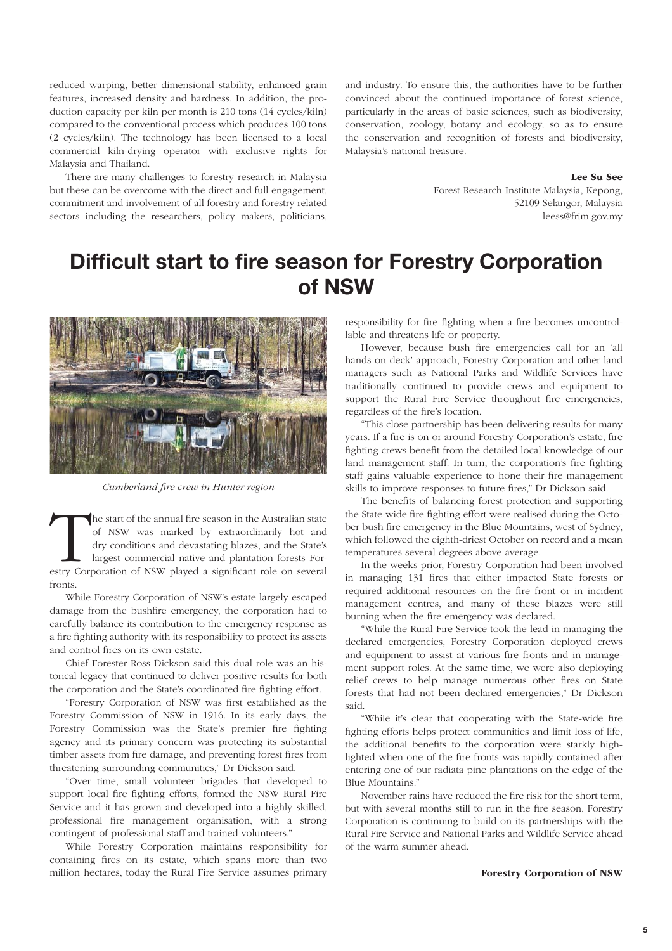reduced warping, better dimensional stability, enhanced grain features, increased density and hardness. In addition, the production capacity per kiln per month is 210 tons (14 cycles/kiln) compared to the conventional process which produces 100 tons (2 cycles/kiln). The technology has been licensed to a local commercial kiln-drying operator with exclusive rights for Malaysia and Thailand.

There are many challenges to forestry research in Malaysia but these can be overcome with the direct and full engagement, commitment and involvement of all forestry and forestry related sectors including the researchers, policy makers, politicians, and industry. To ensure this, the authorities have to be further convinced about the continued importance of forest science, particularly in the areas of basic sciences, such as biodiversity, conservation, zoology, botany and ecology, so as to ensure the conservation and recognition of forests and biodiversity, Malaysia's national treasure.

Lee Su See

Forest Research Institute Malaysia, Kepong, 52109 Selangor, Malaysia leess@frim.gov.my

### **Diffi cult start to fi re season for Forestry Corporation of NSW**



Cumberland fire crew in Hunter region

The start of the annual fire season in the Australian state of NSW was marked by extraordinarily hot and dry conditions and devastating blazes, and the State's largest commercial native and plantation forests Forestry Corp of NSW was marked by extraordinarily hot and dry conditions and devastating blazes, and the State's largest commercial native and plantation forests Forfronts.

While Forestry Corporation of NSW's estate largely escaped damage from the bushfire emergency, the corporation had to carefully balance its contribution to the emergency response as a fire fighting authority with its responsibility to protect its assets and control fires on its own estate.

Chief Forester Ross Dickson said this dual role was an historical legacy that continued to deliver positive results for both the corporation and the State's coordinated fire fighting effort.

"Forestry Corporation of NSW was first established as the Forestry Commission of NSW in 1916. In its early days, the Forestry Commission was the State's premier fire fighting agency and its primary concern was protecting its substantial timber assets from fire damage, and preventing forest fires from threatening surrounding communities," Dr Dickson said.

"Over time, small volunteer brigades that developed to support local fire fighting efforts, formed the NSW Rural Fire Service and it has grown and developed into a highly skilled, professional fire management organisation, with a strong contingent of professional staff and trained volunteers."

While Forestry Corporation maintains responsibility for containing fires on its estate, which spans more than two million hectares, today the Rural Fire Service assumes primary responsibility for fire fighting when a fire becomes uncontrollable and threatens life or property.

However, because bush fire emergencies call for an 'all hands on deck' approach, Forestry Corporation and other land managers such as National Parks and Wildlife Services have traditionally continued to provide crews and equipment to support the Rural Fire Service throughout fire emergencies, regardless of the fire's location.

"This close partnership has been delivering results for many years. If a fire is on or around Forestry Corporation's estate, fire fighting crews benefit from the detailed local knowledge of our land management staff. In turn, the corporation's fire fighting staff gains valuable experience to hone their fire management skills to improve responses to future fires," Dr Dickson said.

The benefits of balancing forest protection and supporting the State-wide fire fighting effort were realised during the October bush fire emergency in the Blue Mountains, west of Sydney, which followed the eighth-driest October on record and a mean temperatures several degrees above average.

In the weeks prior, Forestry Corporation had been involved in managing 131 fires that either impacted State forests or required additional resources on the fire front or in incident management centres, and many of these blazes were still burning when the fire emergency was declared.

"While the Rural Fire Service took the lead in managing the declared emergencies, Forestry Corporation deployed crews and equipment to assist at various fire fronts and in management support roles. At the same time, we were also deploying relief crews to help manage numerous other fires on State forests that had not been declared emergencies," Dr Dickson said.

"While it's clear that cooperating with the State-wide fire fighting efforts helps protect communities and limit loss of life, the additional benefits to the corporation were starkly highlighted when one of the fire fronts was rapidly contained after entering one of our radiata pine plantations on the edge of the Blue Mountains."

November rains have reduced the fire risk for the short term, but with several months still to run in the fire season, Forestry Corporation is continuing to build on its partnerships with the Rural Fire Service and National Parks and Wildlife Service ahead of the warm summer ahead.

Forestry Corporation of NSW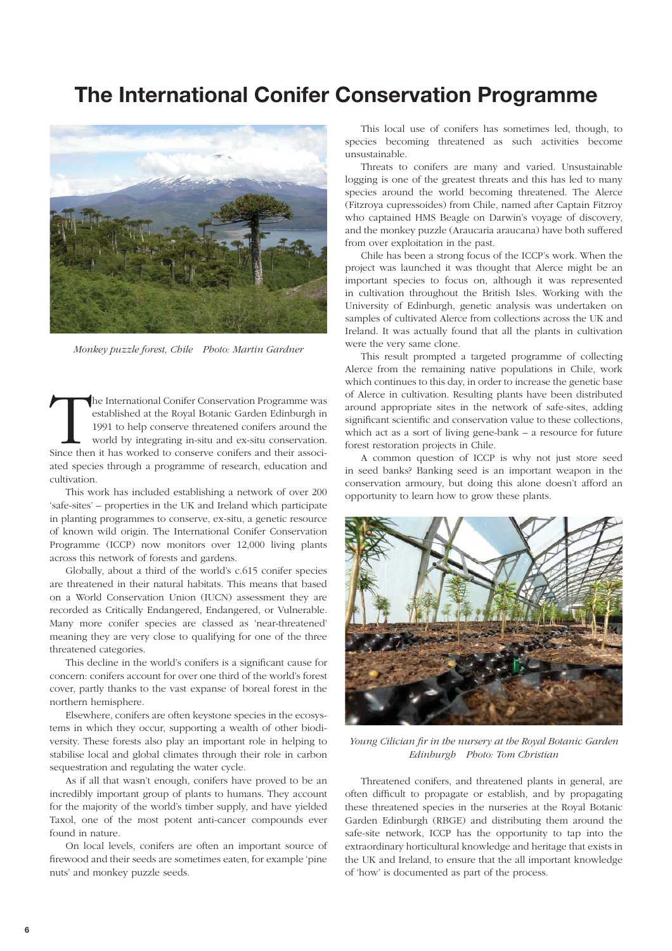### **The International Conifer Conservation Programme**



Monkey puzzle forest, Chile Photo: Martin Gardner

The International Conifer Conservation Programme was established at the Royal Botanic Garden Edinburgh in 1991 to help conserve threatened conifers around the world by integrating in-situ and ex-situ conservation.<br>Since th established at the Royal Botanic Garden Edinburgh in 1991 to help conserve threatened conifers around the world by integrating in-situ and ex-situ conservation. ated species through a programme of research, education and cultivation.

This work has included establishing a network of over 200 'safe-sites' – properties in the UK and Ireland which participate in planting programmes to conserve, ex-situ, a genetic resource of known wild origin. The International Conifer Conservation Programme (ICCP) now monitors over 12,000 living plants across this network of forests and gardens.

Globally, about a third of the world's c.615 conifer species are threatened in their natural habitats. This means that based on a World Conservation Union (IUCN) assessment they are recorded as Critically Endangered, Endangered, or Vulnerable. Many more conifer species are classed as 'near-threatened' meaning they are very close to qualifying for one of the three threatened categories.

This decline in the world's conifers is a significant cause for concern: conifers account for over one third of the world's forest cover, partly thanks to the vast expanse of boreal forest in the northern hemisphere.

Elsewhere, conifers are often keystone species in the ecosystems in which they occur, supporting a wealth of other biodiversity. These forests also play an important role in helping to stabilise local and global climates through their role in carbon sequestration and regulating the water cycle.

As if all that wasn't enough, conifers have proved to be an incredibly important group of plants to humans. They account for the majority of the world's timber supply, and have yielded Taxol, one of the most potent anti-cancer compounds ever found in nature.

On local levels, conifers are often an important source of firewood and their seeds are sometimes eaten, for example 'pine nuts' and monkey puzzle seeds.

This local use of conifers has sometimes led, though, to species becoming threatened as such activities become unsustainable.

Threats to conifers are many and varied. Unsustainable logging is one of the greatest threats and this has led to many species around the world becoming threatened. The Alerce (Fitzroya cupressoides) from Chile, named after Captain Fitzroy who captained HMS Beagle on Darwin's voyage of discovery, and the monkey puzzle (Araucaria araucana) have both suffered from over exploitation in the past.

Chile has been a strong focus of the ICCP's work. When the project was launched it was thought that Alerce might be an important species to focus on, although it was represented in cultivation throughout the British Isles. Working with the University of Edinburgh, genetic analysis was undertaken on samples of cultivated Alerce from collections across the UK and Ireland. It was actually found that all the plants in cultivation were the very same clone.

This result prompted a targeted programme of collecting Alerce from the remaining native populations in Chile, work which continues to this day, in order to increase the genetic base of Alerce in cultivation. Resulting plants have been distributed around appropriate sites in the network of safe-sites, adding significant scientific and conservation value to these collections, which act as a sort of living gene-bank – a resource for future forest restoration projects in Chile.

A common question of ICCP is why not just store seed in seed banks? Banking seed is an important weapon in the conservation armoury, but doing this alone doesn't afford an opportunity to learn how to grow these plants.



Young Cilician fir in the nursery at the Royal Botanic Garden Edinburgh Photo: Tom Christian

Threatened conifers, and threatened plants in general, are often difficult to propagate or establish, and by propagating these threatened species in the nurseries at the Royal Botanic Garden Edinburgh (RBGE) and distributing them around the safe-site network, ICCP has the opportunity to tap into the extraordinary horticultural knowledge and heritage that exists in the UK and Ireland, to ensure that the all important knowledge of 'how' is documented as part of the process.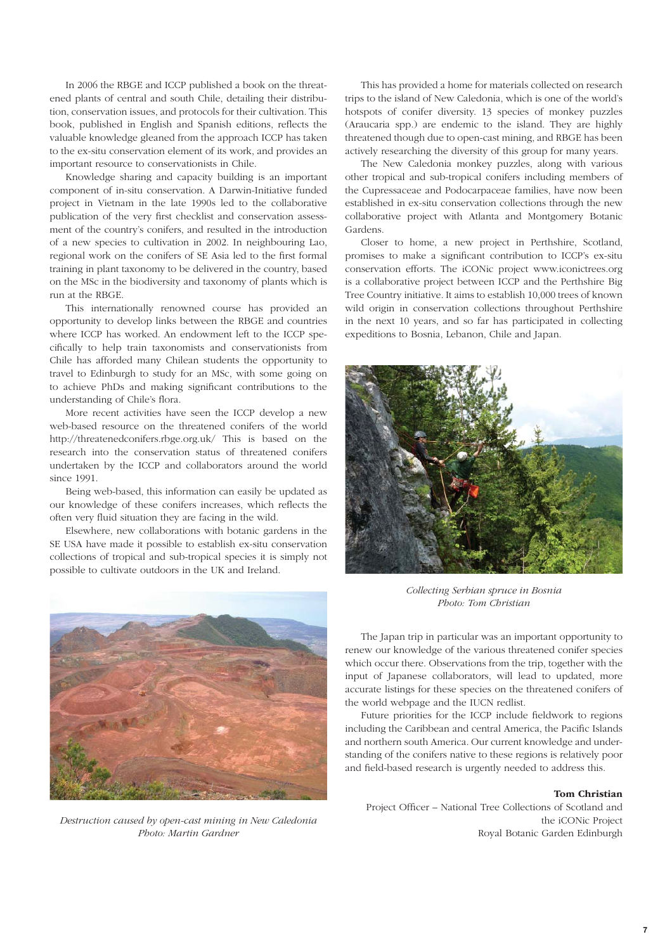In 2006 the RBGE and ICCP published a book on the threatened plants of central and south Chile, detailing their distribution, conservation issues, and protocols for their cultivation. This book, published in English and Spanish editions, reflects the valuable knowledge gleaned from the approach ICCP has taken to the ex-situ conservation element of its work, and provides an important resource to conservationists in Chile.

Knowledge sharing and capacity building is an important component of in-situ conservation. A Darwin-Initiative funded project in Vietnam in the late 1990s led to the collaborative publication of the very first checklist and conservation assessment of the country's conifers, and resulted in the introduction of a new species to cultivation in 2002. In neighbouring Lao, regional work on the conifers of SE Asia led to the first formal training in plant taxonomy to be delivered in the country, based on the MSc in the biodiversity and taxonomy of plants which is run at the RBGE.

This internationally renowned course has provided an opportunity to develop links between the RBGE and countries where ICCP has worked. An endowment left to the ICCP specifi cally to help train taxonomists and conservationists from Chile has afforded many Chilean students the opportunity to travel to Edinburgh to study for an MSc, with some going on to achieve PhDs and making significant contributions to the understanding of Chile's flora.

More recent activities have seen the ICCP develop a new web-based resource on the threatened conifers of the world http://threatenedconifers.rbge.org.uk/ This is based on the research into the conservation status of threatened conifers undertaken by the ICCP and collaborators around the world since 1991.

Being web-based, this information can easily be updated as our knowledge of these conifers increases, which reflects the often very fluid situation they are facing in the wild.

Elsewhere, new collaborations with botanic gardens in the SE USA have made it possible to establish ex-situ conservation collections of tropical and sub-tropical species it is simply not possible to cultivate outdoors in the UK and Ireland.



Destruction caused by open-cast mining in New Caledonia Photo: Martin Gardner

This has provided a home for materials collected on research trips to the island of New Caledonia, which is one of the world's hotspots of conifer diversity. 13 species of monkey puzzles (Araucaria spp.) are endemic to the island. They are highly threatened though due to open-cast mining, and RBGE has been actively researching the diversity of this group for many years.

The New Caledonia monkey puzzles, along with various other tropical and sub-tropical conifers including members of the Cupressaceae and Podocarpaceae families, have now been established in ex-situ conservation collections through the new collaborative project with Atlanta and Montgomery Botanic Gardens.

Closer to home, a new project in Perthshire, Scotland, promises to make a significant contribution to ICCP's ex-situ conservation efforts. The iCONic project www.iconictrees.org is a collaborative project between ICCP and the Perthshire Big Tree Country initiative. It aims to establish 10,000 trees of known wild origin in conservation collections throughout Perthshire in the next 10 years, and so far has participated in collecting expeditions to Bosnia, Lebanon, Chile and Japan.



Collecting Serbian spruce in Bosnia Photo: Tom Christian

The Japan trip in particular was an important opportunity to renew our knowledge of the various threatened conifer species which occur there. Observations from the trip, together with the input of Japanese collaborators, will lead to updated, more accurate listings for these species on the threatened conifers of the world webpage and the IUCN redlist.

Future priorities for the ICCP include fieldwork to regions including the Caribbean and central America, the Pacific Islands and northern south America. Our current knowledge and understanding of the conifers native to these regions is relatively poor and field-based research is urgently needed to address this.

#### Tom Christian

Project Officer – National Tree Collections of Scotland and the iCONic Project Royal Botanic Garden Edinburgh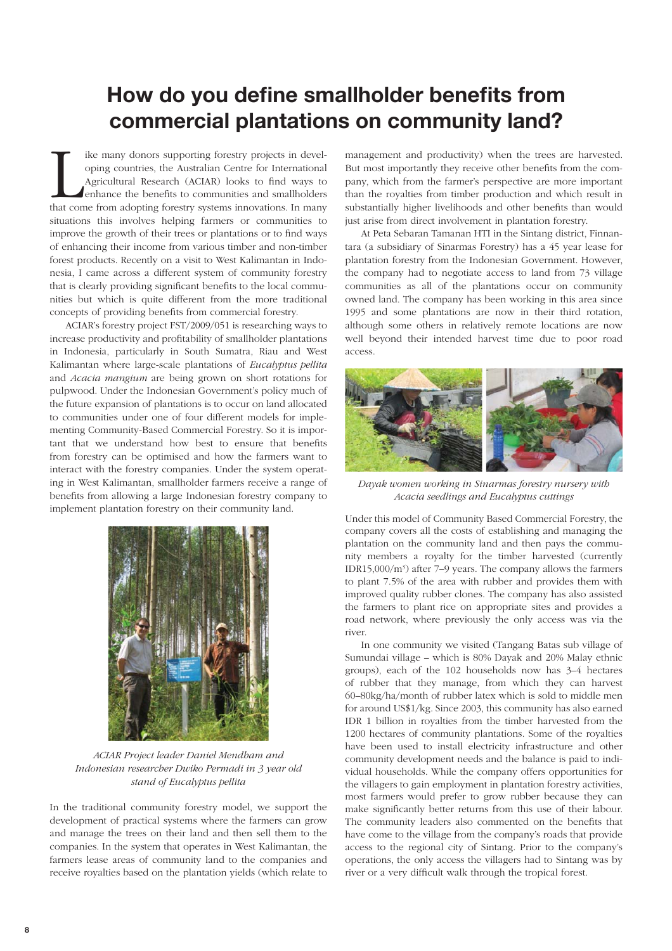### **How do you define smallholder benefits from commercial plantations on community land?**

ike many donors supporting forestry projects in developing countries, the Australian Centre for International Agricultural Research (ACIAR) looks to find ways to enhance the benefits to communities and smallholders that co ike many donors supporting forestry projects in developing countries, the Australian Centre for International Agricultural Research (ACIAR) looks to find ways to enhance the benefits to communities and smallholders situations this involves helping farmers or communities to improve the growth of their trees or plantations or to find ways of enhancing their income from various timber and non-timber forest products. Recently on a visit to West Kalimantan in Indonesia, I came across a different system of community forestry that is clearly providing significant benefits to the local communities but which is quite different from the more traditional concepts of providing benefits from commercial forestry.

ACIAR's forestry project FST/2009/051 is researching ways to increase productivity and profitability of smallholder plantations in Indonesia, particularly in South Sumatra, Riau and West Kalimantan where large-scale plantations of Eucalyptus pellita and Acacia mangium are being grown on short rotations for pulpwood. Under the Indonesian Government's policy much of the future expansion of plantations is to occur on land allocated to communities under one of four different models for implementing Community-Based Commercial Forestry. So it is important that we understand how best to ensure that benefits from forestry can be optimised and how the farmers want to interact with the forestry companies. Under the system operating in West Kalimantan, smallholder farmers receive a range of benefits from allowing a large Indonesian forestry company to implement plantation forestry on their community land.



ACIAR Project leader Daniel Mendham and Indonesian researcher Dwiko Permadi in 3 year old stand of Eucalyptus pellita

In the traditional community forestry model, we support the development of practical systems where the farmers can grow and manage the trees on their land and then sell them to the companies. In the system that operates in West Kalimantan, the farmers lease areas of community land to the companies and receive royalties based on the plantation yields (which relate to

management and productivity) when the trees are harvested. But most importantly they receive other benefits from the company, which from the farmer's perspective are more important than the royalties from timber production and which result in substantially higher livelihoods and other benefits than would just arise from direct involvement in plantation forestry.

At Peta Sebaran Tamanan HTI in the Sintang district, Finnantara (a subsidiary of Sinarmas Forestry) has a 45 year lease for plantation forestry from the Indonesian Government. However, the company had to negotiate access to land from 73 village communities as all of the plantations occur on community owned land. The company has been working in this area since 1995 and some plantations are now in their third rotation, although some others in relatively remote locations are now well beyond their intended harvest time due to poor road access.



Dayak women working in Sinarmas forestry nursery with Acacia seedlings and Eucalyptus cuttings

Under this model of Community Based Commercial Forestry, the company covers all the costs of establishing and managing the plantation on the community land and then pays the community members a royalty for the timber harvested (currently IDR15,000/m3 ) after 7–9 years. The company allows the farmers to plant 7.5% of the area with rubber and provides them with improved quality rubber clones. The company has also assisted the farmers to plant rice on appropriate sites and provides a road network, where previously the only access was via the river.

In one community we visited (Tangang Batas sub village of Sumundai village – which is 80% Dayak and 20% Malay ethnic groups), each of the 102 households now has 3–4 hectares of rubber that they manage, from which they can harvest 60–80kg/ha/month of rubber latex which is sold to middle men for around US\$1/kg. Since 2003, this community has also earned IDR 1 billion in royalties from the timber harvested from the 1200 hectares of community plantations. Some of the royalties have been used to install electricity infrastructure and other community development needs and the balance is paid to individual households. While the company offers opportunities for the villagers to gain employment in plantation forestry activities, most farmers would prefer to grow rubber because they can make significantly better returns from this use of their labour. The community leaders also commented on the benefits that have come to the village from the company's roads that provide access to the regional city of Sintang. Prior to the company's operations, the only access the villagers had to Sintang was by river or a very difficult walk through the tropical forest.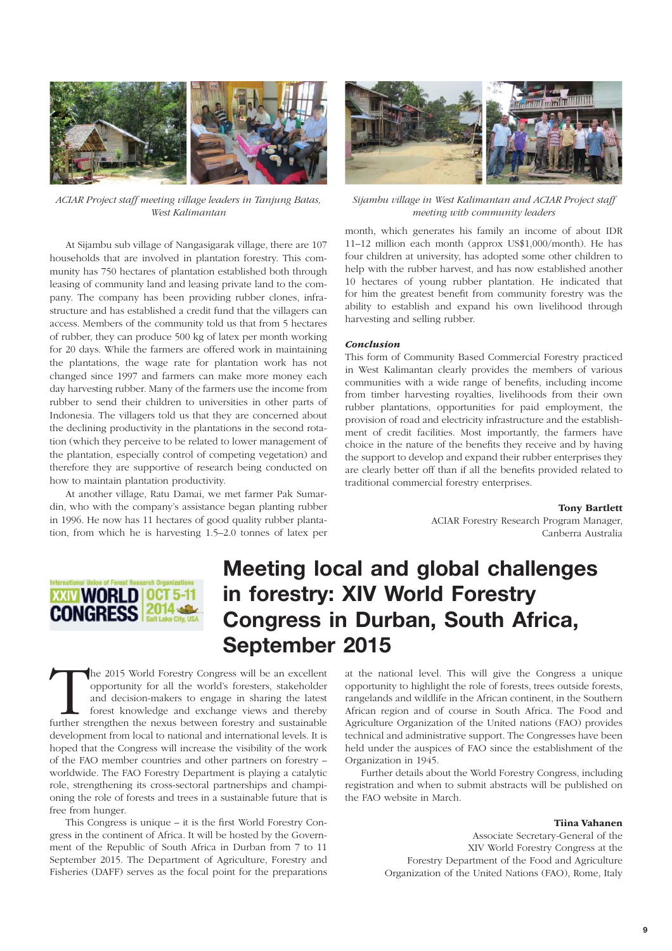

ACIAR Project staff meeting village leaders in Tanjung Batas, West Kalimantan

At Sijambu sub village of Nangasigarak village, there are 107 households that are involved in plantation forestry. This community has 750 hectares of plantation established both through leasing of community land and leasing private land to the company. The company has been providing rubber clones, infrastructure and has established a credit fund that the villagers can access. Members of the community told us that from 5 hectares of rubber, they can produce 500 kg of latex per month working for 20 days. While the farmers are offered work in maintaining the plantations, the wage rate for plantation work has not changed since 1997 and farmers can make more money each day harvesting rubber. Many of the farmers use the income from rubber to send their children to universities in other parts of Indonesia. The villagers told us that they are concerned about the declining productivity in the plantations in the second rotation (which they perceive to be related to lower management of the plantation, especially control of competing vegetation) and therefore they are supportive of research being conducted on how to maintain plantation productivity.

At another village, Ratu Damai, we met farmer Pak Sumardin, who with the company's assistance began planting rubber in 1996. He now has 11 hectares of good quality rubber plantation, from which he is harvesting 1.5–2.0 tonnes of latex per



Sijambu village in West Kalimantan and ACIAR Project staff meeting with community leaders

month, which generates his family an income of about IDR 11–12 million each month (approx US\$1,000/month). He has four children at university, has adopted some other children to help with the rubber harvest, and has now established another 10 hectares of young rubber plantation. He indicated that for him the greatest benefit from community forestry was the ability to establish and expand his own livelihood through harvesting and selling rubber.

#### Conclusion

This form of Community Based Commercial Forestry practiced in West Kalimantan clearly provides the members of various communities with a wide range of benefits, including income from timber harvesting royalties, livelihoods from their own rubber plantations, opportunities for paid employment, the provision of road and electricity infrastructure and the establishment of credit facilities. Most importantly, the farmers have choice in the nature of the benefits they receive and by having the support to develop and expand their rubber enterprises they are clearly better off than if all the benefits provided related to traditional commercial forestry enterprises.

Tony Bartlett

 ACIAR Forestry Research Program Manager, Canberra Australia



## **Meeting local and global challenges in forestry: XIV World Forestry Congress in Durban, South Africa, September 2015**

The 2015 World Forestry Congress will be an excellent opportunity for all the world's foresters, stakeholder and decision-makers to engage in sharing the latest forest knowledge and exchange views and thereby further stren opportunity for all the world's foresters, stakeholder and decision-makers to engage in sharing the latest forest knowledge and exchange views and thereby development from local to national and international levels. It is hoped that the Congress will increase the visibility of the work of the FAO member countries and other partners on forestry – worldwide. The FAO Forestry Department is playing a catalytic role, strengthening its cross-sectoral partnerships and championing the role of forests and trees in a sustainable future that is free from hunger.

This Congress is unique  $-$  it is the first World Forestry Congress in the continent of Africa. It will be hosted by the Government of the Republic of South Africa in Durban from 7 to 11 September 2015. The Department of Agriculture, Forestry and Fisheries (DAFF) serves as the focal point for the preparations at the national level. This will give the Congress a unique opportunity to highlight the role of forests, trees outside forests, rangelands and wildlife in the African continent, in the Southern African region and of course in South Africa. The Food and Agriculture Organization of the United nations (FAO) provides technical and administrative support. The Congresses have been held under the auspices of FAO since the establishment of the Organization in 1945.

Further details about the World Forestry Congress, including registration and when to submit abstracts will be published on the FAO website in March.

#### Tiina Vahanen

Associate Secretary-General of the XIV World Forestry Congress at the Forestry Department of the Food and Agriculture Organization of the United Nations (FAO), Rome, Italy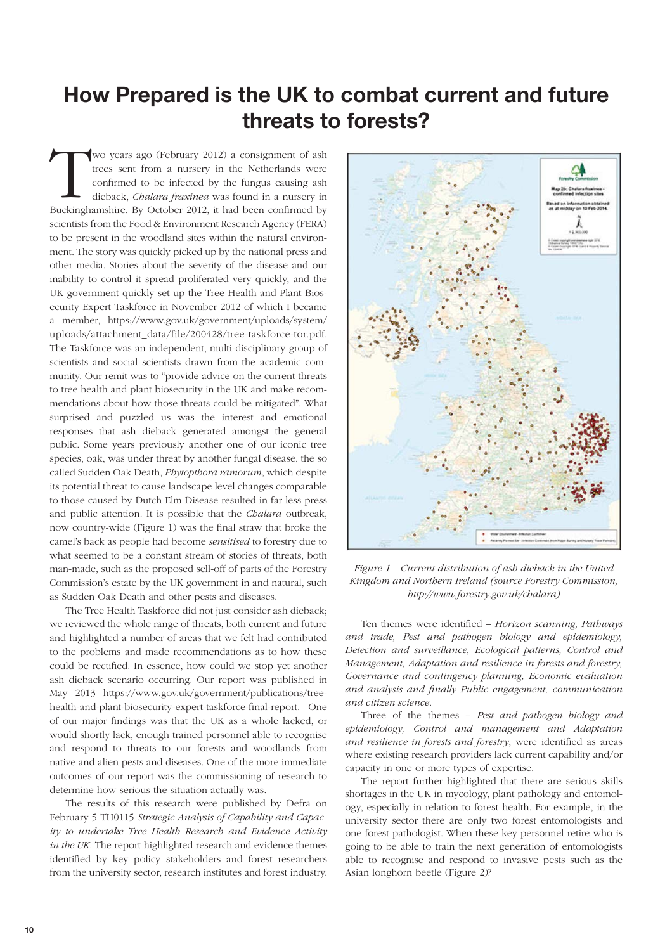### **How Prepared is the UK to combat current and future threats to forests?**

Wo years ago (February 2012) a consignment of ash trees sent from a nursery in the Netherlands were confirmed to be infected by the fungus causing ash dieback, *Chalara fraxinea* was found in a nursery in Buckinghamshire. trees sent from a nursery in the Netherlands were confirmed to be infected by the fungus causing ash dieback, Chalara fraxinea was found in a nursery in scientists from the Food & Environment Research Agency (FERA) to be present in the woodland sites within the natural environment. The story was quickly picked up by the national press and other media. Stories about the severity of the disease and our inability to control it spread proliferated very quickly, and the UK government quickly set up the Tree Health and Plant Biosecurity Expert Taskforce in November 2012 of which I became a member, https://www.gov.uk/government/uploads/system/ uploads/attachment\_data/file/200428/tree-taskforce-tor.pdf. The Taskforce was an independent, multi-disciplinary group of scientists and social scientists drawn from the academic community. Our remit was to "provide advice on the current threats to tree health and plant biosecurity in the UK and make recommendations about how those threats could be mitigated". What surprised and puzzled us was the interest and emotional responses that ash dieback generated amongst the general public. Some years previously another one of our iconic tree species, oak, was under threat by another fungal disease, the so called Sudden Oak Death, Phytopthora ramorum, which despite its potential threat to cause landscape level changes comparable to those caused by Dutch Elm Disease resulted in far less press and public attention. It is possible that the *Chalara* outbreak, now country-wide (Figure 1) was the final straw that broke the camel's back as people had become sensitised to forestry due to what seemed to be a constant stream of stories of threats, both man-made, such as the proposed sell-off of parts of the Forestry Commission's estate by the UK government in and natural, such as Sudden Oak Death and other pests and diseases.

The Tree Health Taskforce did not just consider ash dieback; we reviewed the whole range of threats, both current and future and highlighted a number of areas that we felt had contributed to the problems and made recommendations as to how these could be rectified. In essence, how could we stop yet another ash dieback scenario occurring. Our report was published in May 2013 https://www.gov.uk/government/publications/treehealth-and-plant-biosecurity-expert-taskforce-final-report. One of our major findings was that the UK as a whole lacked, or would shortly lack, enough trained personnel able to recognise and respond to threats to our forests and woodlands from native and alien pests and diseases. One of the more immediate outcomes of our report was the commissioning of research to determine how serious the situation actually was.

The results of this research were published by Defra on February 5 TH0115 Strategic Analysis of Capability and Capacity to undertake Tree Health Research and Evidence Activity in the UK. The report highlighted research and evidence themes identified by key policy stakeholders and forest researchers from the university sector, research institutes and forest industry.



Figure 1 Current distribution of ash dieback in the United Kingdom and Northern Ireland (source Forestry Commission, http://www.forestry.gov.uk/chalara)

Ten themes were identified - Horizon scanning, Pathways and trade, Pest and pathogen biology and epidemiology, Detection and surveillance, Ecological patterns, Control and Management, Adaptation and resilience in forests and forestry, Governance and contingency planning, Economic evaluation and analysis and finally Public engagement, communication and citizen science.

Three of the themes - Pest and pathogen biology and epidemiology, Control and management and Adaptation and resilience in forests and forestry, were identified as areas where existing research providers lack current capability and/or capacity in one or more types of expertise.

The report further highlighted that there are serious skills shortages in the UK in mycology, plant pathology and entomology, especially in relation to forest health. For example, in the university sector there are only two forest entomologists and one forest pathologist. When these key personnel retire who is going to be able to train the next generation of entomologists able to recognise and respond to invasive pests such as the Asian longhorn beetle (Figure 2)?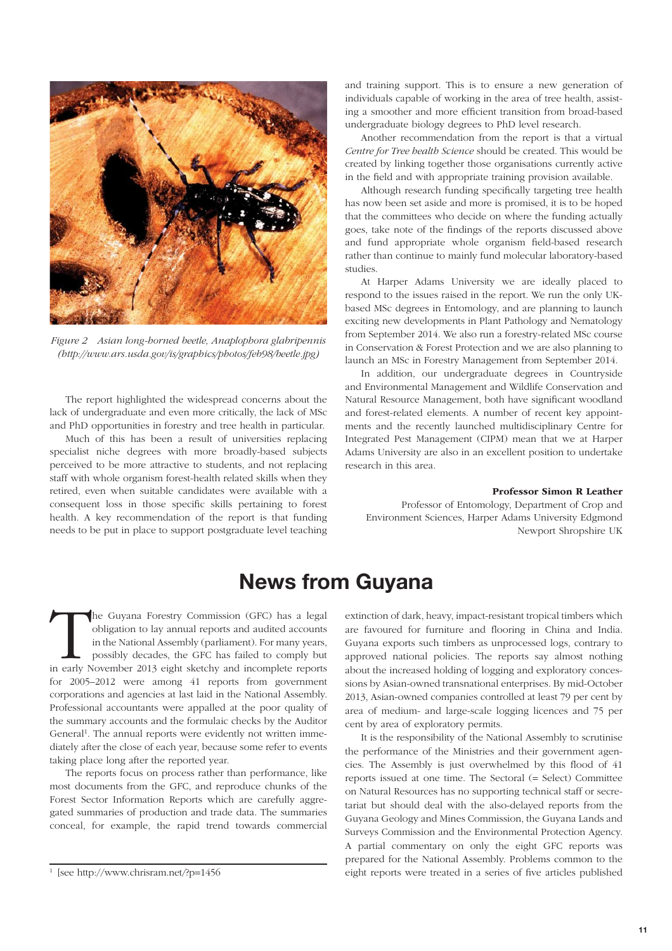

Figure 2 Asian long-horned beetle, Anaplophora glabripennis (http://www.ars.usda.gov/is/graphics/photos/feb98/beetle.jpg)

The report highlighted the widespread concerns about the lack of undergraduate and even more critically, the lack of MSc and PhD opportunities in forestry and tree health in particular.

Much of this has been a result of universities replacing specialist niche degrees with more broadly-based subjects perceived to be more attractive to students, and not replacing staff with whole organism forest-health related skills when they retired, even when suitable candidates were available with a consequent loss in those specific skills pertaining to forest health. A key recommendation of the report is that funding needs to be put in place to support postgraduate level teaching and training support. This is to ensure a new generation of individuals capable of working in the area of tree health, assisting a smoother and more efficient transition from broad-based undergraduate biology degrees to PhD level research.

Another recommendation from the report is that a virtual Centre for Tree health Science should be created. This would be created by linking together those organisations currently active in the field and with appropriate training provision available.

Although research funding specifically targeting tree health has now been set aside and more is promised, it is to be hoped that the committees who decide on where the funding actually goes, take note of the findings of the reports discussed above and fund appropriate whole organism field-based research rather than continue to mainly fund molecular laboratory-based studies.

At Harper Adams University we are ideally placed to respond to the issues raised in the report. We run the only UKbased MSc degrees in Entomology, and are planning to launch exciting new developments in Plant Pathology and Nematology from September 2014. We also run a forestry-related MSc course in Conservation & Forest Protection and we are also planning to launch an MSc in Forestry Management from September 2014.

In addition, our undergraduate degrees in Countryside and Environmental Management and Wildlife Conservation and Natural Resource Management, both have significant woodland and forest-related elements. A number of recent key appointments and the recently launched multidisciplinary Centre for Integrated Pest Management (CIPM) mean that we at Harper Adams University are also in an excellent position to undertake research in this area.

#### Professor Simon R Leather

Professor of Entomology, Department of Crop and Environment Sciences, Harper Adams University Edgmond Newport Shropshire UK

### **News from Guyana**

The Guyana Forestry Commission (GFC) has a legal obligation to lay annual reports and audited accounts in the National Assembly (parliament). For many years, possibly decades, the GFC has failed to comply but in early Nove obligation to lay annual reports and audited accounts in the National Assembly (parliament). For many years, possibly decades, the GFC has failed to comply but for 2005–2012 were among 41 reports from government corporations and agencies at last laid in the National Assembly. Professional accountants were appalled at the poor quality of the summary accounts and the formulaic checks by the Auditor General<sup>1</sup>. The annual reports were evidently not written immediately after the close of each year, because some refer to events taking place long after the reported year.

The reports focus on process rather than performance, like most documents from the GFC, and reproduce chunks of the Forest Sector Information Reports which are carefully aggregated summaries of production and trade data. The summaries conceal, for example, the rapid trend towards commercial extinction of dark, heavy, impact-resistant tropical timbers which are favoured for furniture and flooring in China and India. Guyana exports such timbers as unprocessed logs, contrary to approved national policies. The reports say almost nothing about the increased holding of logging and exploratory concessions by Asian-owned transnational enterprises. By mid-October 2013, Asian-owned companies controlled at least 79 per cent by area of medium- and large-scale logging licences and 75 per cent by area of exploratory permits.

It is the responsibility of the National Assembly to scrutinise the performance of the Ministries and their government agencies. The Assembly is just overwhelmed by this flood of 41 reports issued at one time. The Sectoral (= Select) Committee on Natural Resources has no supporting technical staff or secretariat but should deal with the also-delayed reports from the Guyana Geology and Mines Commission, the Guyana Lands and Surveys Commission and the Environmental Protection Agency. A partial commentary on only the eight GFC reports was prepared for the National Assembly. Problems common to the eight reports were treated in a series of five articles published

 $<sup>1</sup>$  [see http://www.chrisram.net/?p=1456</sup>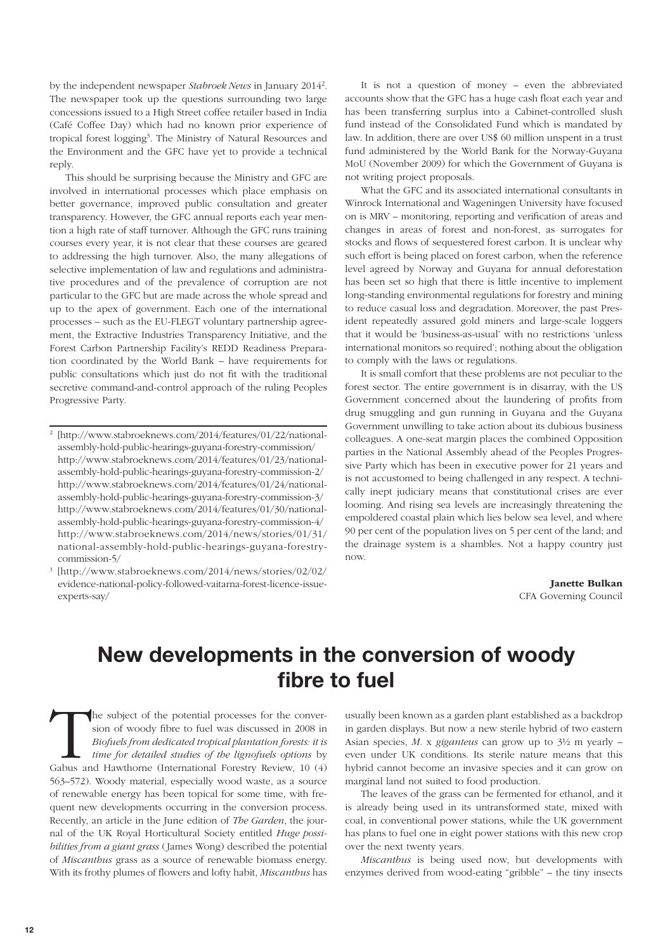by the independent newspaper Stabroek News in January 2014<sup>2</sup>. The newspaper took up the questions surrounding two large concessions issued to a High Street coffee retailer based in India (Café Coffee Day) which had no known prior experience of tropical forest logging<sup>3</sup>. The Ministry of Natural Resources and the Environment and the GFC have yet to provide a technical reply.

This should be surprising because the Ministry and GFC are involved in international processes which place emphasis on better governance, improved public consultation and greater transparency. However, the GFC annual reports each year mention a high rate of staff turnover. Although the GFC runs training courses every year, it is not clear that these courses are geared to addressing the high turnover. Also, the many allegations of selective implementation of law and regulations and administrative procedures and of the prevalence of corruption are not particular to the GFC but are made across the whole spread and up to the apex of government. Each one of the international processes – such as the EU-FLEGT voluntary partnership agreement, the Extractive Industries Transparency Initiative, and the Forest Carbon Partnership Facility's REDD Readiness Preparation coordinated by the World Bank – have requirements for public consultations which just do not fit with the traditional secretive command-and-control approach of the ruling Peoples Progressive Party.

2 [http://www.stabroeknews.com/2014/features/01/22/nationalassembly-hold-public-hearings-guyana-forestry-commission/ http://www.stabroeknews.com/2014/features/01/23/nationalassembly-hold-public-hearings-guyana-forestry-commission-2/ http://www.stabroeknews.com/2014/features/01/24/nationalassembly-hold-public-hearings-guyana-forestry-commission-3/ http://www.stabroeknews.com/2014/features/01/30/nationalassembly-hold-public-hearings-guyana-forestry-commission-4/ http://www.stabroeknews.com/2014/news/stories/01/31/ national-assembly-hold-public-hearings-guyana-forestrycommission-5/

3 [http://www.stabroeknews.com/2014/news/stories/02/02/ evidence-national-policy-followed-vaitarna-forest-licence-issueexperts-say/

It is not a question of money – even the abbreviated accounts show that the GFC has a huge cash float each year and has been transferring surplus into a Cabinet-controlled slush fund instead of the Consolidated Fund which is mandated by law. In addition, there are over US\$ 60 million unspent in a trust fund administered by the World Bank for the Norway-Guyana MoU (November 2009) for which the Government of Guyana is not writing project proposals.

What the GFC and its associated international consultants in Winrock International and Wageningen University have focused on is MRV – monitoring, reporting and verification of areas and changes in areas of forest and non-forest, as surrogates for stocks and flows of sequestered forest carbon. It is unclear why such effort is being placed on forest carbon, when the reference level agreed by Norway and Guyana for annual deforestation has been set so high that there is little incentive to implement long-standing environmental regulations for forestry and mining to reduce casual loss and degradation. Moreover, the past President repeatedly assured gold miners and large-scale loggers that it would be 'business-as-usual' with no restrictions 'unless international monitors so required'; nothing about the obligation to comply with the laws or regulations.

It is small comfort that these problems are not peculiar to the forest sector. The entire government is in disarray, with the US Government concerned about the laundering of profits from drug smuggling and gun running in Guyana and the Guyana Government unwilling to take action about its dubious business colleagues. A one-seat margin places the combined Opposition parties in the National Assembly ahead of the Peoples Progressive Party which has been in executive power for 21 years and is not accustomed to being challenged in any respect. A technically inept judiciary means that constitutional crises are ever looming. And rising sea levels are increasingly threatening the empoldered coastal plain which lies below sea level, and where 90 per cent of the population lives on 5 per cent of the land; and the drainage system is a shambles. Not a happy country just now.

> Janette Bulkan CFA Governing Council

### **New developments in the conversion of woody**  fibre to fuel

The subject of the potential processes for the conversion of woody fibre to fuel was discussed in 2008 in *Biofuels from dedicated tropical plantation forests: it is time for detailed studies of the lignofuels options* by sion of woody fibre to fuel was discussed in 2008 in Biofuels from dedicated tropical plantation forests: it is time for detailed studies of the lignofuels options by Gabus and Hawthorne (International Forestry Review, 10 (4) 563–572). Woody material, especially wood waste, as a source of renewable energy has been topical for some time, with frequent new developments occurring in the conversion process. Recently, an article in the June edition of The Garden, the journal of the UK Royal Horticultural Society entitled Huge possibilities from a giant grass (James Wong) described the potential of Miscanthus grass as a source of renewable biomass energy. With its frothy plumes of flowers and lofty habit, Miscanthus has

usually been known as a garden plant established as a backdrop in garden displays. But now a new sterile hybrid of two eastern Asian species, *M.* x *giganteus* can grow up to  $3\frac{1}{2}$  m yearly – even under UK conditions. Its sterile nature means that this hybrid cannot become an invasive species and it can grow on marginal land not suited to food production.

The leaves of the grass can be fermented for ethanol, and it is already being used in its untransformed state, mixed with coal, in conventional power stations, while the UK government has plans to fuel one in eight power stations with this new crop over the next twenty years.

Miscanthus is being used now, but developments with enzymes derived from wood-eating "gribble" – the tiny insects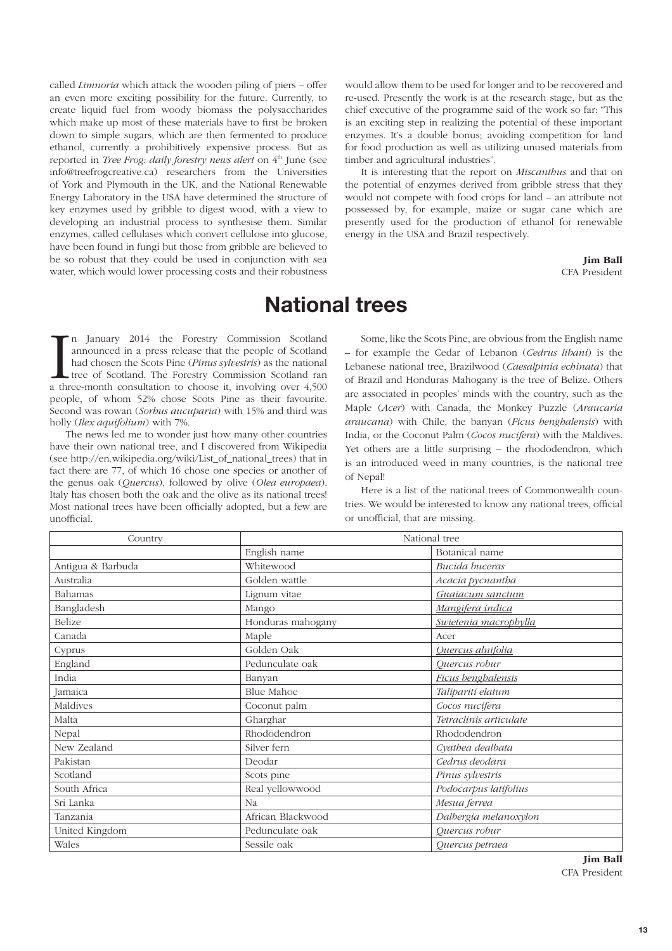called Limnoria which attack the wooden piling of piers – offer an even more exciting possibility for the future. Currently, to create liquid fuel from woody biomass the polysaccharides which make up most of these materials have to first be broken down to simple sugars, which are then fermented to produce ethanol, currently a prohibitively expensive process. But as reported in Tree Frog: daily forestry news alert on 4<sup>th</sup> June (see info@treefrogcreative.ca) researchers from the Universities of York and Plymouth in the UK, and the National Renewable Energy Laboratory in the USA have determined the structure of key enzymes used by gribble to digest wood, with a view to developing an industrial process to synthesise them. Similar enzymes, called cellulases which convert cellulose into glucose, have been found in fungi but those from gribble are believed to be so robust that they could be used in conjunction with sea water, which would lower processing costs and their robustness would allow them to be used for longer and to be recovered and re-used. Presently the work is at the research stage, but as the chief executive of the programme said of the work so far: "This is an exciting step in realizing the potential of these important enzymes. It's a double bonus; avoiding competition for land for food production as well as utilizing unused materials from timber and agricultural industries".

It is interesting that the report on *Miscanthus* and that on the potential of enzymes derived from gribble stress that they would not compete with food crops for land – an attribute not possessed by, for example, maize or sugar cane which are presently used for the production of ethanol for renewable energy in the USA and Brazil respectively.

> Jim Ball CFA President

#### **National trees**

In January 2014 the Forestry Commission Scotland announced in a press release that the people of Scotland had chosen the Scots Pine (*Pinus sylvestris*) as the national tree of Scotland. The Forestry Commission Scotland ra n January 2014 the Forestry Commission Scotland announced in a press release that the people of Scotland had chosen the Scots Pine (Pinus sylvestris) as the national tree of Scotland. The Forestry Commission Scotland ran people, of whom 52% chose Scots Pine as their favourite. Second was rowan (Sorbus aucuparia) with 15% and third was holly (Ilex aquifolium) with 7%.

The news led me to wonder just how many other countries have their own national tree, and I discovered from Wikipedia (see http://en.wikipedia.org/wiki/List\_of\_national\_trees) that in fact there are 77, of which 16 chose one species or another of the genus oak (Quercus), followed by olive (Olea europaea). Italy has chosen both the oak and the olive as its national trees! Most national trees have been officially adopted, but a few are unofficial

Some, like the Scots Pine, are obvious from the English name – for example the Cedar of Lebanon (Cedrus libani) is the Lebanese national tree, Brazilwood (Caesalpinia echinata) that of Brazil and Honduras Mahogany is the tree of Belize. Others are associated in peoples' minds with the country, such as the Maple (Acer) with Canada, the Monkey Puzzle (Araucaria araucana) with Chile, the banyan (Ficus benghalensis) with India, or the Coconut Palm (Cocos nucifera) with the Maldives. Yet others are a little surprising – the rhododendron, which is an introduced weed in many countries, is the national tree of Nepal!

Here is a list of the national trees of Commonwealth countries. We would be interested to know any national trees, official or unofficial, that are missing.

| Country           | National tree     |                        |
|-------------------|-------------------|------------------------|
|                   | English name      | Botanical name         |
| Antigua & Barbuda | Whitewood         | Bucida buceras         |
| Australia         | Golden wattle     | Acacia pycnantha       |
| Bahamas           | Lignum vitae      | Guaiacum sanctum       |
| Bangladesh        | Mango             | Mangifera indica       |
| Belize            | Honduras mahogany | Swietenia macrophylla  |
| Canada            | Maple             | Acer                   |
| Cyprus            | Golden Oak        | Quercus alnifolia      |
| England           | Pedunculate oak   | Quercus robur          |
| India             | Banyan            | Ficus benghalensis     |
| Jamaica           | <b>Blue Mahoe</b> | Talipariti elatum      |
| Maldives          | Coconut palm      | Cocos nucifera         |
| Malta             | Gharghar          | Tetraclinis articulate |
| Nepal             | Rhododendron      | Rhododendron           |
| New Zealand       | Silver fern       | Cyathea dealbata       |
| Pakistan          | Deodar            | Cedrus deodara         |
| Scotland          | Scots pine        | Pinus sylvestris       |
| South Africa      | Real yellowwood   | Podocarpus latifolius  |
| Sri Lanka         | Na                | Mesua ferrea           |
| Tanzania          | African Blackwood | Dalbergia melanoxylon  |
| United Kingdom    | Pedunculate oak   | Quercus robur          |
| Wales             | Sessile oak       | Quercus petraea        |

Jim Ball CFA President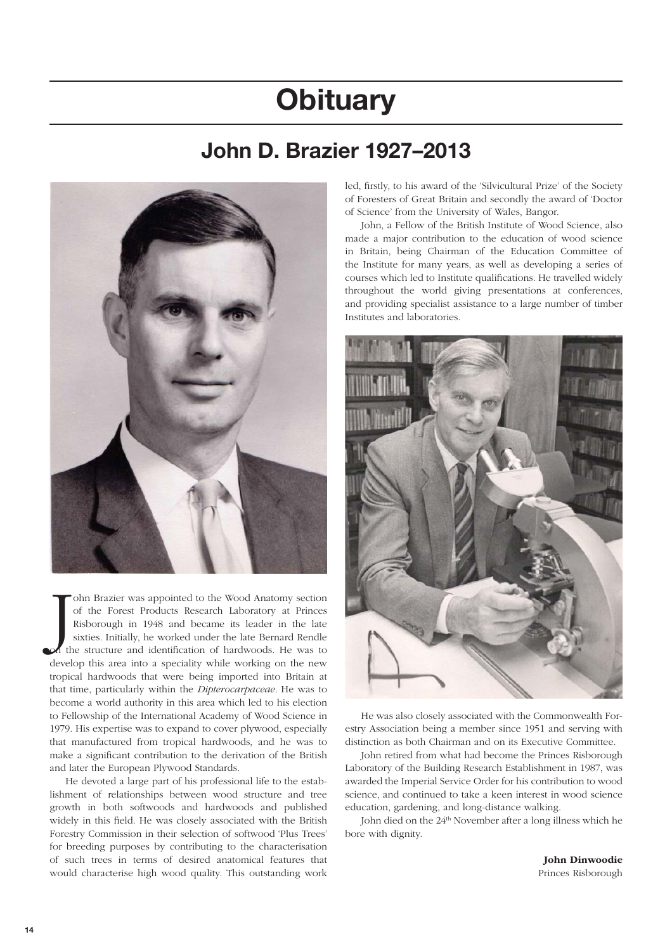# **Obituary**

## **John D. Brazier 1927-2013**



J<sub>th</sub> ohn Brazier was appointed to the Wood Anatomy section of the Forest Products Research Laboratory at Princes Risborough in 1948 and became its leader in the late sixties. Initially, he worked under the late Bernard Rendle the structure and identification of hardwoods. He was to develop this area into a speciality while working on the new tropical hardwoods that were being imported into Britain at that time, particularly within the Dipterocarpaceae. He was to become a world authority in this area which led to his election to Fellowship of the International Academy of Wood Science in 1979. His expertise was to expand to cover plywood, especially that manufactured from tropical hardwoods, and he was to make a significant contribution to the derivation of the British and later the European Plywood Standards.

He devoted a large part of his professional life to the establishment of relationships between wood structure and tree growth in both softwoods and hardwoods and published widely in this field. He was closely associated with the British Forestry Commission in their selection of softwood 'Plus Trees' for breeding purposes by contributing to the characterisation of such trees in terms of desired anatomical features that would characterise high wood quality. This outstanding work

led, firstly, to his award of the 'Silvicultural Prize' of the Society of Foresters of Great Britain and secondly the award of 'Doctor of Science' from the University of Wales, Bangor.

John, a Fellow of the British Institute of Wood Science, also made a major contribution to the education of wood science in Britain, being Chairman of the Education Committee of the Institute for many years, as well as developing a series of courses which led to Institute qualifications. He travelled widely throughout the world giving presentations at conferences, and providing specialist assistance to a large number of timber Institutes and laboratories.



He was also closely associated with the Commonwealth Forestry Association being a member since 1951 and serving with distinction as both Chairman and on its Executive Committee.

John retired from what had become the Princes Risborough Laboratory of the Building Research Establishment in 1987, was awarded the Imperial Service Order for his contribution to wood science, and continued to take a keen interest in wood science education, gardening, and long-distance walking.

John died on the 24th November after a long illness which he bore with dignity.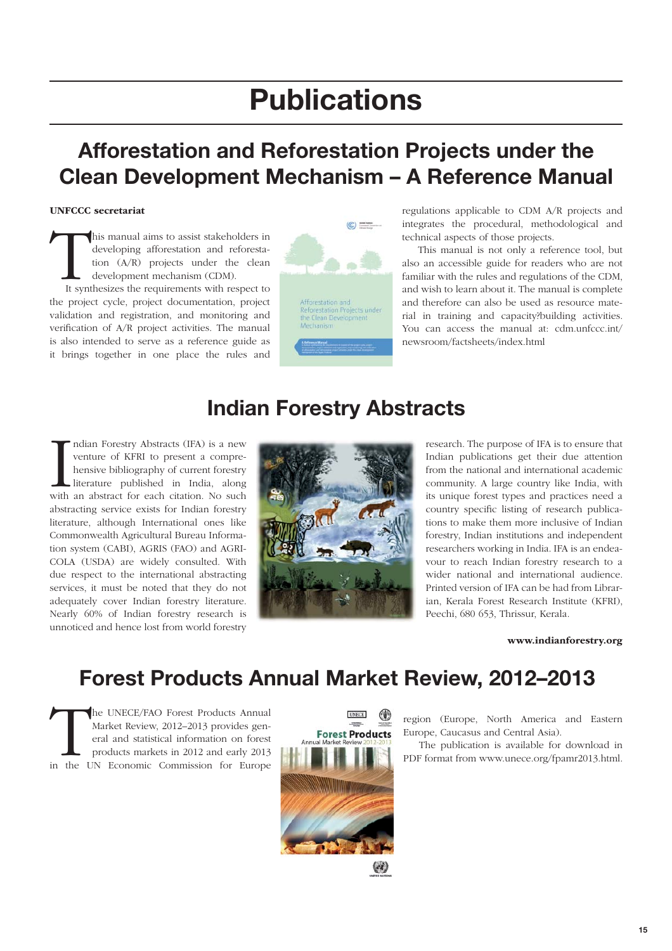# **Publications**

# **Afforestation and Reforestation Projects under the Clean Development Mechanism - A Reference Manual**

#### UNFCCC secretariat

This manual aims to assist stakeholders in developing afforestation and reforestation (A/R) projects under the clean development mechanism (CDM). It synthesizes the requirements with respect to developing afforestation and reforestation (A/R) projects under the clean development mechanism (CDM).

the project cycle, project documentation, project validation and registration, and monitoring and verification of A/R project activities. The manual is also intended to serve as a reference guide as it brings together in one place the rules and



regulations applicable to CDM A/R projects and integrates the procedural, methodological and technical aspects of those projects.

This manual is not only a reference tool, but also an accessible guide for readers who are not familiar with the rules and regulations of the CDM, and wish to learn about it. The manual is complete and therefore can also be used as resource material in training and capacity?building activities. You can access the manual at: cdm.unfccc.int/ newsroom/factsheets/index.html

#### Indian Forestry Abstracts (IFA) is a new venture of KFRI to present a comprehensive bibliography of current forestry literature published in India, along with an abstract for each citation. No such ndian Forestry Abstracts (IFA) is a new venture of KFRI to present a comprehensive bibliography of current forestry literature published in India, along abstracting service exists for Indian forestry literature, although International ones like Commonwealth Agricultural Bureau Information system (CABI), AGRIS (FAO) and AGRI-COLA (USDA) are widely consulted. With

due respect to the international abstracting services, it must be noted that they do not adequately cover Indian forestry literature. Nearly 60% of Indian forestry research is unnoticed and hence lost from world forestry

# **Indian Forestry Abstracts**



research. The purpose of IFA is to ensure that Indian publications get their due attention from the national and international academic community. A large country like India, with its unique forest types and practices need a country specific listing of research publications to make them more inclusive of Indian forestry, Indian institutions and independent researchers working in India. IFA is an endeavour to reach Indian forestry research to a wider national and international audience. Printed version of IFA can be had from Librarian, Kerala Forest Research Institute (KFRI), Peechi, 680 653, Thrissur, Kerala.

www.indianforestry.org

# **Forest Products Annual Market Review, 2012-2013**

The UNECE/FAO Forest Products Annual<br>
Market Review, 2012–2013 provides gen-<br>
eral and statistical information on forest<br>
products markets in 2012 and early 2013<br>
in the UN Economic Commission for Europe Market Review, 2012–2013 provides general and statistical information on forest products markets in 2012 and early 2013



region (Europe, North America and Eastern Europe, Caucasus and Central Asia).

The publication is available for download in PDF format from www.unece.org/fpamr2013.html.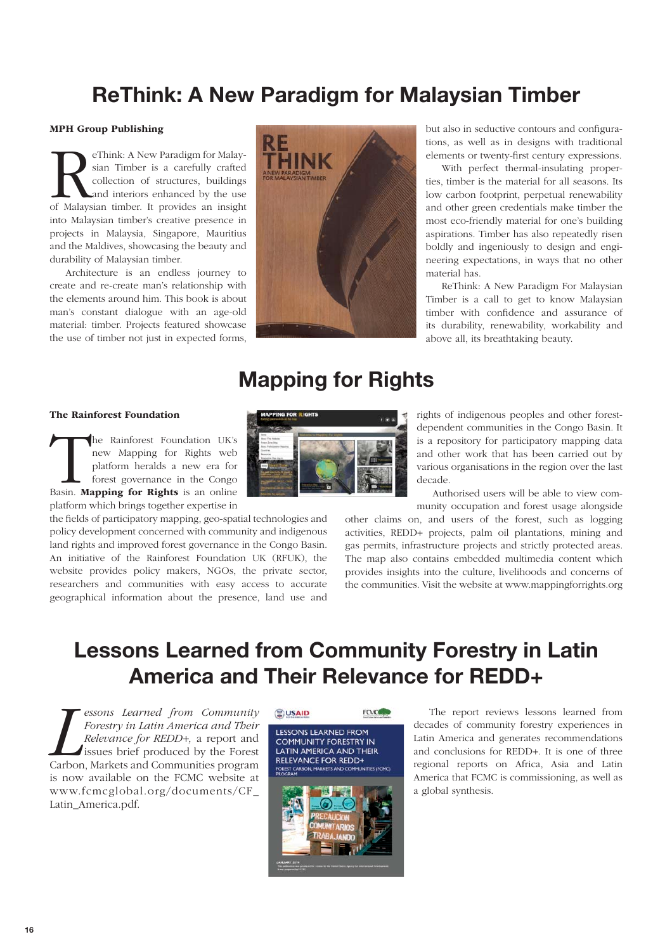## **ReThink: A New Paradigm for Malaysian Timber**

#### MPH Group Publishing

**Retain** Timber is a carefully crafted collection of structures, buildings and interiors enhanced by the use of Malaysian timber. It provides an insight sian Timber is a carefully crafted collection of structures, buildings and interiors enhanced by the use into Malaysian timber's creative presence in projects in Malaysia, Singapore, Mauritius and the Maldives, showcasing the beauty and durability of Malaysian timber.

Architecture is an endless journey to create and re-create man's relationship with the elements around him. This book is about man's constant dialogue with an age-old material: timber. Projects featured showcase the use of timber not just in expected forms,



but also in seductive contours and configurations, as well as in designs with traditional elements or twenty-first century expressions.

With perfect thermal-insulating properties, timber is the material for all seasons. Its low carbon footprint, perpetual renewability and other green credentials make timber the most eco-friendly material for one's building aspirations. Timber has also repeatedly risen boldly and ingeniously to design and engineering expectations, in ways that no other material has.

ReThink: A New Paradigm For Malaysian Timber is a call to get to know Malaysian timber with confidence and assurance of its durability, renewability, workability and above all, its breathtaking beauty.

### **Mapping for Rights**

#### The Rainforest Foundation

The Rainforest Foundation UK's<br>
new Mapping for Rights web<br>
platform heralds a new era for<br>
forest governance in the Congo<br>
Basin. **Mapping for Rights** is an online new Mapping for Rights web platform heralds a new era for forest governance in the Congo platform which brings together expertise in

the fields of participatory mapping, geo-spatial technologies and policy development concerned with community and indigenous land rights and improved forest governance in the Congo Basin. An initiative of the Rainforest Foundation UK (RFUK), the website provides policy makers, NGOs, the private sector, researchers and communities with easy access to accurate geographical information about the presence, land use and rights of indigenous peoples and other forestdependent communities in the Congo Basin. It is a repository for participatory mapping data and other work that has been carried out by various organisations in the region over the last decade.

Authorised users will be able to view community occupation and forest usage alongside

other claims on, and users of the forest, such as logging activities, REDD+ projects, palm oil plantations, mining and gas permits, infrastructure projects and strictly protected areas. The map also contains embedded multimedia content which provides insights into the culture, livelihoods and concerns of the communities. Visit the website at www.mappingforrights.org

## **Lessons Learned from Community Forestry in Latin America and Their Relevance for REDD+**

**Learned from Community**<br>Forestry in Latin America and Their<br>Relevance for REDD+, a report and<br>issues brief produced by the Forest<br>Carbon, Markets and Communities program essons Learned from Community Forestry in Latin America and Their Relevance for REDD+, a report and issues brief produced by the Forest is now available on the FCMC website at www.fcmcglobal.org/documents/CF\_ Latin\_America.pdf.



The report reviews lessons learned from decades of community forestry experiences in Latin America and generates recommendations and conclusions for REDD+. It is one of three regional reports on Africa, Asia and Latin America that FCMC is commissioning, as well as a global synthesis.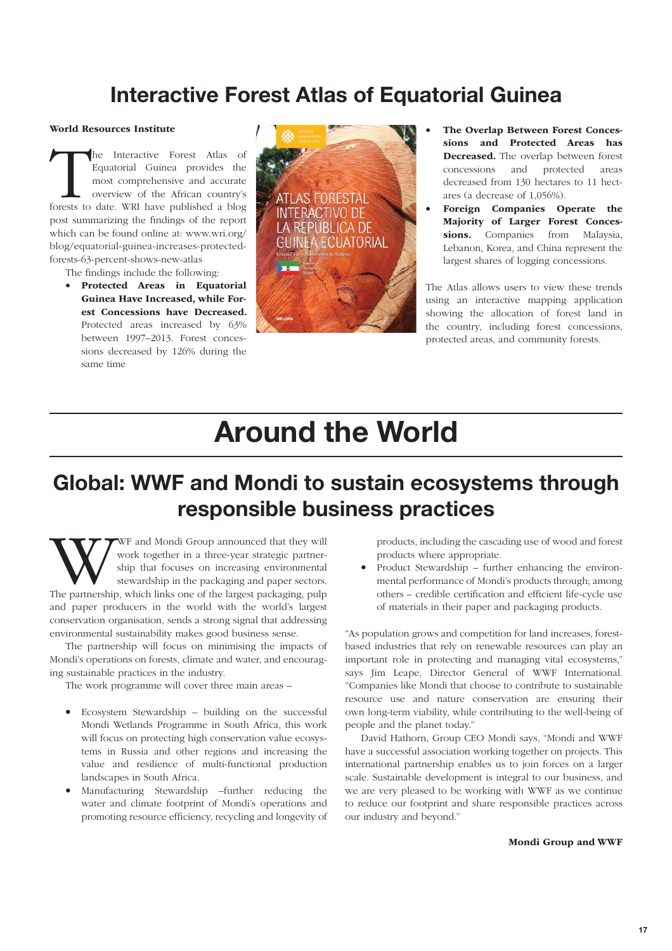### **Interactive Forest Atlas of Equatorial Guinea**

#### World Resources Institute

The Interactive Forest Atlas of Equatorial Guinea provides the most comprehensive and accurate overview of the African country's forests to date. WRI have published a blog Equatorial Guinea provides the most comprehensive and accurate overview of the African country's post summarizing the findings of the report which can be found online at: www.wri.org/ blog/equatorial-guinea-increases-protectedforests-63-percent-shows-new-atlas

The findings include the following:

• Protected Areas in Equatorial Guinea Have Increased, while Forest Concessions have Decreased. Protected areas increased by 63% between 1997–2013. Forest concessions decreased by 126% during the same time



- The Overlap Between Forest Concessions and Protected Areas has Decreased. The overlap between forest concessions and protected areas decreased from 130 hectares to 11 hectares (a decrease of 1,056%).
- Foreign Companies Operate the Majority of Larger Forest Concessions. Companies from Malaysia, Lebanon, Korea, and China represent the largest shares of logging concessions.

The Atlas allows users to view these trends using an interactive mapping application showing the allocation of forest land in the country, including forest concessions, protected areas, and community forests.

# **Around the World**

# **Global: WWF and Mondi to sustain ecosystems through responsible business practices**

WWF and Mondi Group announced that they will work together in a three-year strategic partnership, this tocuses on increasing environmental stewardship in the packaging and paper sectors.<br>The partnership, which links one of work together in a three-year strategic partnership that focuses on increasing environmental stewardship in the packaging and paper sectors. and paper producers in the world with the world's largest conservation organisation, sends a strong signal that addressing environmental sustainability makes good business sense.

The partnership will focus on minimising the impacts of Mondi's operations on forests, climate and water, and encouraging sustainable practices in the industry.

The work programme will cover three main areas –

- Ecosystem Stewardship building on the successful Mondi Wetlands Programme in South Africa, this work will focus on protecting high conservation value ecosystems in Russia and other regions and increasing the value and resilience of multi-functional production landscapes in South Africa.
- Manufacturing Stewardship –further reducing the water and climate footprint of Mondi's operations and promoting resource efficiency, recycling and longevity of

products, including the cascading use of wood and forest products where appropriate.

• Product Stewardship – further enhancing the environmental performance of Mondi's products through; among others – credible certification and efficient life-cycle use of materials in their paper and packaging products.

"As population grows and competition for land increases, forestbased industries that rely on renewable resources can play an important role in protecting and managing vital ecosystems," says Jim Leape, Director General of WWF International. "Companies like Mondi that choose to contribute to sustainable resource use and nature conservation are ensuring their own long-term viability, while contributing to the well-being of people and the planet today."

David Hathorn, Group CEO Mondi says, "Mondi and WWF have a successful association working together on projects. This international partnership enables us to join forces on a larger scale. Sustainable development is integral to our business, and we are very pleased to be working with WWF as we continue to reduce our footprint and share responsible practices across our industry and beyond."

#### Mondi Group and WWF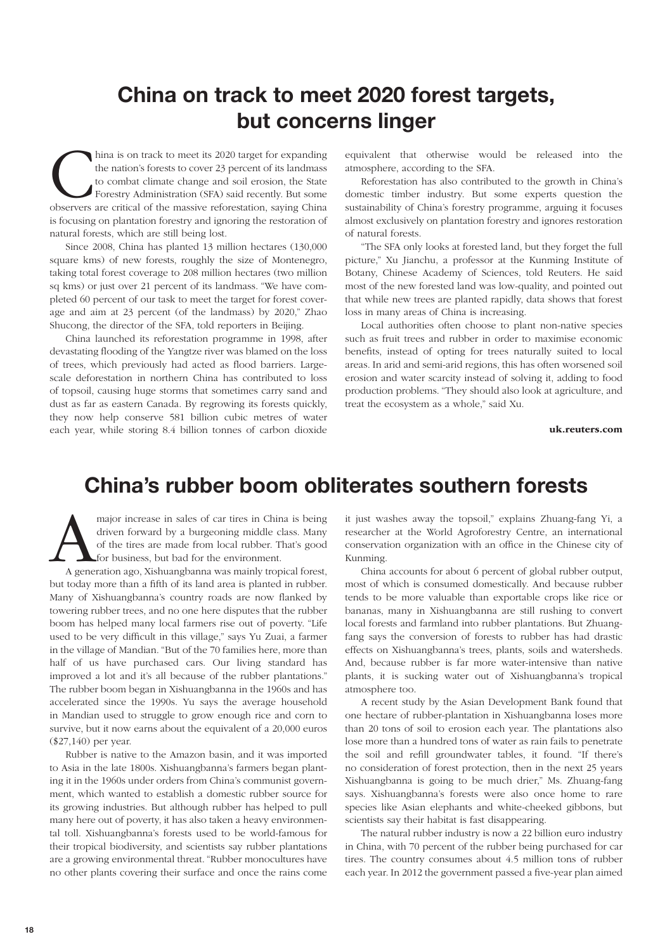### **China on track to meet 2020 forest targets, but concerns linger**

hina is on track to meet its 2020 target for expanding the nation's forests to cover 23 percent of its landmass to combat climate change and soil erosion, the State Forestry Administration (SFA) said recently. But some obs the nation's forests to cover 23 percent of its landmass to combat climate change and soil erosion, the State Forestry Administration (SFA) said recently. But some is focusing on plantation forestry and ignoring the restoration of natural forests, which are still being lost.

Since 2008, China has planted 13 million hectares (130,000 square kms) of new forests, roughly the size of Montenegro, taking total forest coverage to 208 million hectares (two million sq kms) or just over 21 percent of its landmass. "We have completed 60 percent of our task to meet the target for forest coverage and aim at 23 percent (of the landmass) by 2020," Zhao Shucong, the director of the SFA, told reporters in Beijing.

China launched its reforestation programme in 1998, after devastating flooding of the Yangtze river was blamed on the loss of trees, which previously had acted as flood barriers. Largescale deforestation in northern China has contributed to loss of topsoil, causing huge storms that sometimes carry sand and dust as far as eastern Canada. By regrowing its forests quickly, they now help conserve 581 billion cubic metres of water each year, while storing 8.4 billion tonnes of carbon dioxide

equivalent that otherwise would be released into the atmosphere, according to the SFA.

Reforestation has also contributed to the growth in China's domestic timber industry. But some experts question the sustainability of China's forestry programme, arguing it focuses almost exclusively on plantation forestry and ignores restoration of natural forests.

"The SFA only looks at forested land, but they forget the full picture," Xu Jianchu, a professor at the Kunming Institute of Botany, Chinese Academy of Sciences, told Reuters. He said most of the new forested land was low-quality, and pointed out that while new trees are planted rapidly, data shows that forest loss in many areas of China is increasing.

Local authorities often choose to plant non-native species such as fruit trees and rubber in order to maximise economic benefits, instead of opting for trees naturally suited to local areas. In arid and semi-arid regions, this has often worsened soil erosion and water scarcity instead of solving it, adding to food production problems. "They should also look at agriculture, and treat the ecosystem as a whole," said Xu.

uk.reuters.com

### **Chinaís rubber boom obliterates southern forests**

major increase in sales of car tires in China is being driven forward by a burgeoning middle class. Many of the tires are made from local rubber. That's good for business, but bad for the environment. A generation ago, Xis driven forward by a burgeoning middle class. Many of the tires are made from local rubber. That's good for business, but bad for the environment.

but today more than a fifth of its land area is planted in rubber. Many of Xishuangbanna's country roads are now flanked by towering rubber trees, and no one here disputes that the rubber boom has helped many local farmers rise out of poverty. "Life used to be very difficult in this village," says Yu Zuai, a farmer in the village of Mandian. "But of the 70 families here, more than half of us have purchased cars. Our living standard has improved a lot and it's all because of the rubber plantations." The rubber boom began in Xishuangbanna in the 1960s and has accelerated since the 1990s. Yu says the average household in Mandian used to struggle to grow enough rice and corn to survive, but it now earns about the equivalent of a 20,000 euros (\$27,140) per year.

Rubber is native to the Amazon basin, and it was imported to Asia in the late 1800s. Xishuangbanna's farmers began planting it in the 1960s under orders from China's communist government, which wanted to establish a domestic rubber source for its growing industries. But although rubber has helped to pull many here out of poverty, it has also taken a heavy environmental toll. Xishuangbanna's forests used to be world-famous for their tropical biodiversity, and scientists say rubber plantations are a growing environmental threat. "Rubber monocultures have no other plants covering their surface and once the rains come

it just washes away the topsoil," explains Zhuang-fang Yi, a researcher at the World Agroforestry Centre, an international conservation organization with an office in the Chinese city of Kunming.

China accounts for about 6 percent of global rubber output, most of which is consumed domestically. And because rubber tends to be more valuable than exportable crops like rice or bananas, many in Xishuangbanna are still rushing to convert local forests and farmland into rubber plantations. But Zhuangfang says the conversion of forests to rubber has had drastic effects on Xishuangbanna's trees, plants, soils and watersheds. And, because rubber is far more water-intensive than native plants, it is sucking water out of Xishuangbanna's tropical atmosphere too.

A recent study by the Asian Development Bank found that one hectare of rubber-plantation in Xishuangbanna loses more than 20 tons of soil to erosion each year. The plantations also lose more than a hundred tons of water as rain fails to penetrate the soil and refill groundwater tables, it found. "If there's no consideration of forest protection, then in the next 25 years Xishuangbanna is going to be much drier," Ms. Zhuang-fang says. Xishuangbanna's forests were also once home to rare species like Asian elephants and white-cheeked gibbons, but scientists say their habitat is fast disappearing.

The natural rubber industry is now a 22 billion euro industry in China, with 70 percent of the rubber being purchased for car tires. The country consumes about 4.5 million tons of rubber each year. In 2012 the government passed a five-year plan aimed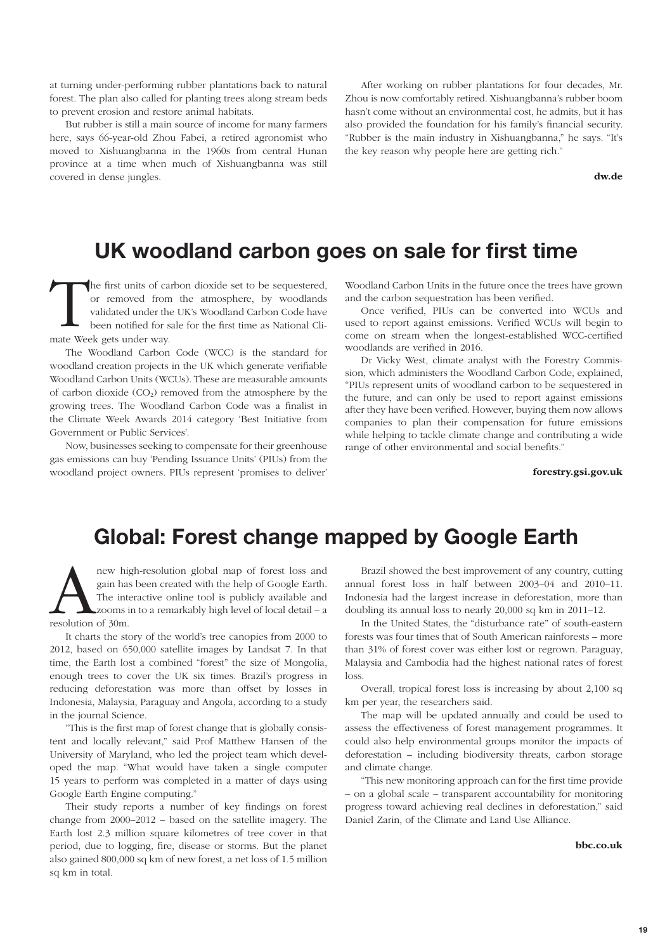at turning under-performing rubber plantations back to natural forest. The plan also called for planting trees along stream beds to prevent erosion and restore animal habitats.

But rubber is still a main source of income for many farmers here, says 66-year-old Zhou Fabei, a retired agronomist who moved to Xishuangbanna in the 1960s from central Hunan province at a time when much of Xishuangbanna was still covered in dense jungles.

After working on rubber plantations for four decades, Mr. Zhou is now comfortably retired. Xishuangbanna's rubber boom hasn't come without an environmental cost, he admits, but it has also provided the foundation for his family's financial security. "Rubber is the main industry in Xishuangbanna," he says. "It's the key reason why people here are getting rich."

dw.de

### **UK woodland carbon goes on sale for first time**

The first units of carbon dioxide set to be sequestered, or removed from the atmosphere, by woodlands validated under the UK's Woodland Carbon Code have been notified for sale for the first time as National Climate Week ge or removed from the atmosphere, by woodlands validated under the UK's Woodland Carbon Code have been notified for sale for the first time as National Climate Week gets under way.

The Woodland Carbon Code (WCC) is the standard for woodland creation projects in the UK which generate verifiable Woodland Carbon Units (WCUs). These are measurable amounts of carbon dioxide  $(CO<sub>2</sub>)$  removed from the atmosphere by the growing trees. The Woodland Carbon Code was a finalist in the Climate Week Awards 2014 category 'Best Initiative from Government or Public Services'.

Now, businesses seeking to compensate for their greenhouse gas emissions can buy 'Pending Issuance Units' (PIUs) from the woodland project owners. PIUs represent 'promises to deliver'

Woodland Carbon Units in the future once the trees have grown and the carbon sequestration has been verified.

Once verified, PIUs can be converted into WCUs and used to report against emissions. Verified WCUs will begin to come on stream when the longest-established WCC-certified woodlands are verified in 2016.

Dr Vicky West, climate analyst with the Forestry Commission, which administers the Woodland Carbon Code, explained, "PIUs represent units of woodland carbon to be sequestered in the future, and can only be used to report against emissions after they have been verified. However, buying them now allows companies to plan their compensation for future emissions while helping to tackle climate change and contributing a wide range of other environmental and social benefits."

forestry.gsi.gov.uk

### **Global: Forest change mapped by Google Earth**

new high-resolution global map of forest loss and gain has been created with the help of Google Earth. The interactive online tool is publicly available and resolution of 30m. gain has been created with the help of Google Earth. The interactive online tool is publicly available and zooms in to a remarkably high level of local detail – a resolution of 30m.

It charts the story of the world's tree canopies from 2000 to 2012, based on 650,000 satellite images by Landsat 7. In that time, the Earth lost a combined "forest" the size of Mongolia, enough trees to cover the UK six times. Brazil's progress in reducing deforestation was more than offset by losses in Indonesia, Malaysia, Paraguay and Angola, according to a study in the journal Science.

"This is the first map of forest change that is globally consistent and locally relevant," said Prof Matthew Hansen of the University of Maryland, who led the project team which developed the map. "What would have taken a single computer 15 years to perform was completed in a matter of days using Google Earth Engine computing."

Their study reports a number of key findings on forest change from 2000–2012 – based on the satellite imagery. The Earth lost 2.3 million square kilometres of tree cover in that period, due to logging, fire, disease or storms. But the planet also gained 800,000 sq km of new forest, a net loss of 1.5 million sq km in total.

Brazil showed the best improvement of any country, cutting annual forest loss in half between 2003–04 and 2010–11. Indonesia had the largest increase in deforestation, more than doubling its annual loss to nearly 20,000 sq km in 2011–12.

In the United States, the "disturbance rate" of south-eastern forests was four times that of South American rainforests – more than 31% of forest cover was either lost or regrown. Paraguay, Malaysia and Cambodia had the highest national rates of forest loss.

Overall, tropical forest loss is increasing by about 2,100 sq km per year, the researchers said.

The map will be updated annually and could be used to assess the effectiveness of forest management programmes. It could also help environmental groups monitor the impacts of deforestation – including biodiversity threats, carbon storage and climate change.

"This new monitoring approach can for the first time provide – on a global scale – transparent accountability for monitoring progress toward achieving real declines in deforestation," said Daniel Zarin, of the Climate and Land Use Alliance.

bbc.co.uk